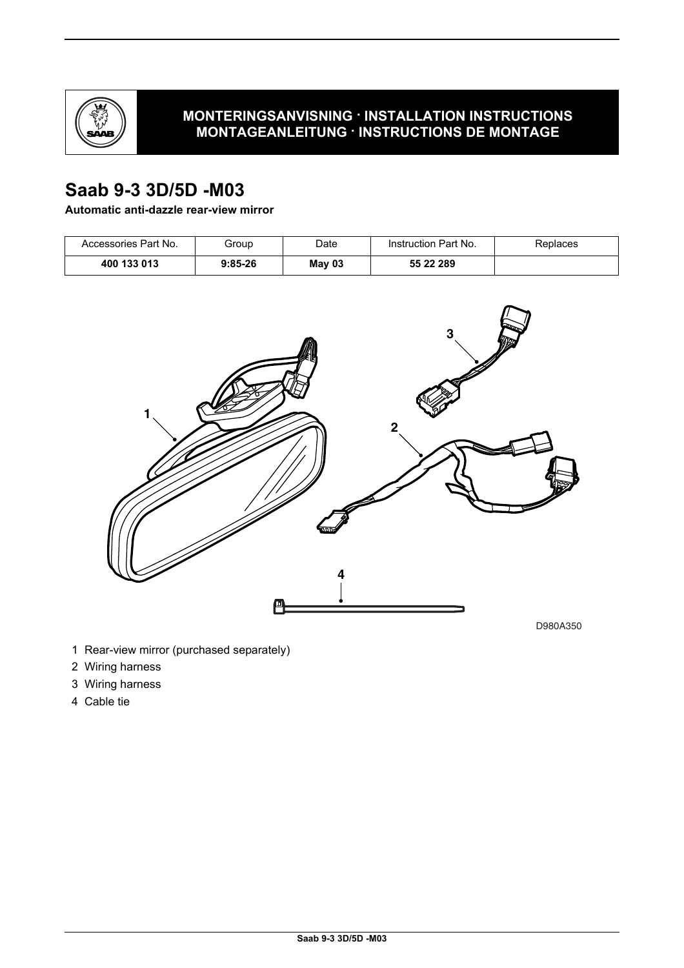

## **MONTERINGSANVISNING · INSTALLATION INSTRUCTIONS MONTAGEANLEITUNG · INSTRUCTIONS DE MONTAGE**

# **Saab 9-3 3D/5D -M03**

## **Automatic anti-dazzle rear-view mirror**

| Accessories Part No. | Group     | Date   | Instruction Part No. | Replaces |
|----------------------|-----------|--------|----------------------|----------|
| 400 133 013          | $9:85-26$ | May 03 | 55 22 289            |          |



- 1 Rear-view mirror (purchased separately)
- 2 Wiring harness
- 3 Wiring harness
- 4 Cable tie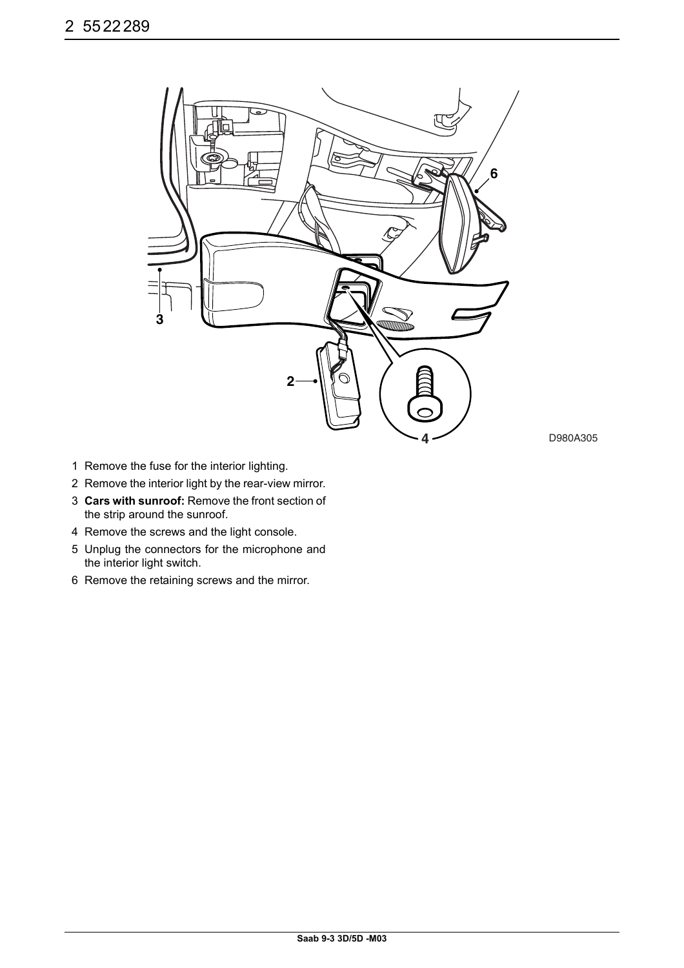

**4** D980A305

- 1 Remove the fuse for the interior lighting.
- 2 Remove the interior light by the rear-view mirror.
- 3 **Cars with sunroof:** Remove the front section of the strip around the sunroof.
- 4 Remove the screws and the light console.
- 5 Unplug the connectors for the microphone and the interior light switch.
- 6 Remove the retaining screws and the mirror.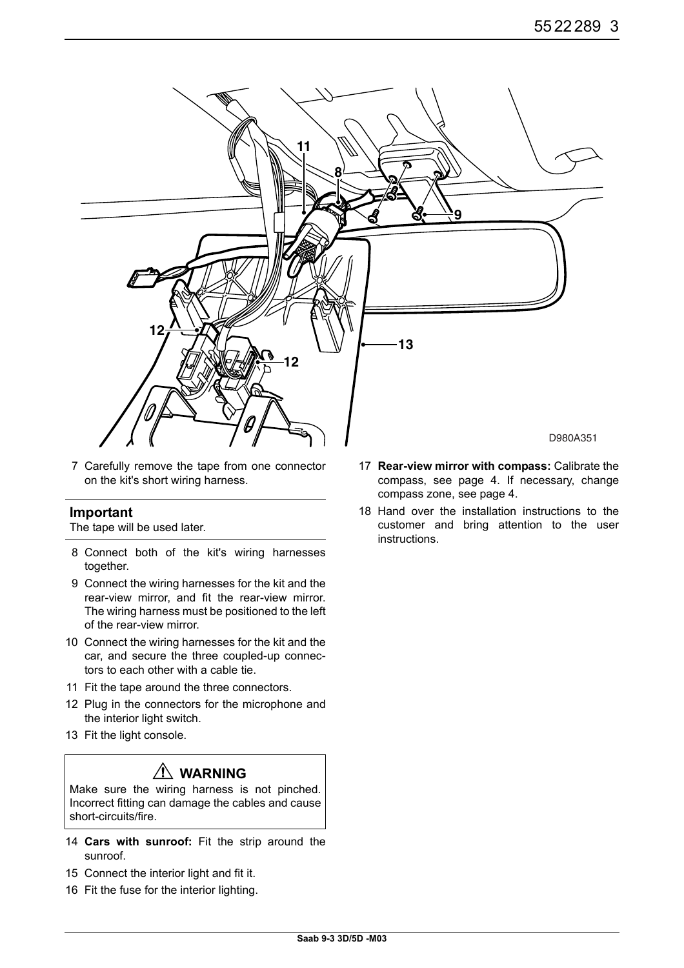

7 Carefully remove the tape from one connector on the kit's short wiring harness.

#### **Important**

The tape will be used later.

- 8 Connect both of the kit's wiring harnesses together.
- 9 Connect the wiring harnesses for the kit and the rear-view mirror, and fit the rear-view mirror. The wiring harness must be positioned to the left of the rear-view mirror.
- 10 Connect the wiring harnesses for the kit and the car, and secure the three coupled-up connectors to each other with a cable tie.
- 11 Fit the tape around the three connectors.
- 12 Plug in the connectors for the microphone and the interior light switch.
- 13 Fit the light console.

## **WARNING**

Make sure the wiring harness is not pinched. Incorrect fitting can damage the cables and cause short-circuits/fire.

- 14 **Cars with sunroof:** Fit the strip around the sunroof.
- 15 Connect the interior light and fit it.
- 16 Fit the fuse for the interior lighting.
- 17 **Rear-view mirror with compass:** Calibrate the compass, see page 4. If necessary, change compass zone, see page 4.
- 18 Hand over the installation instructions to the customer and bring attention to the user instructions.